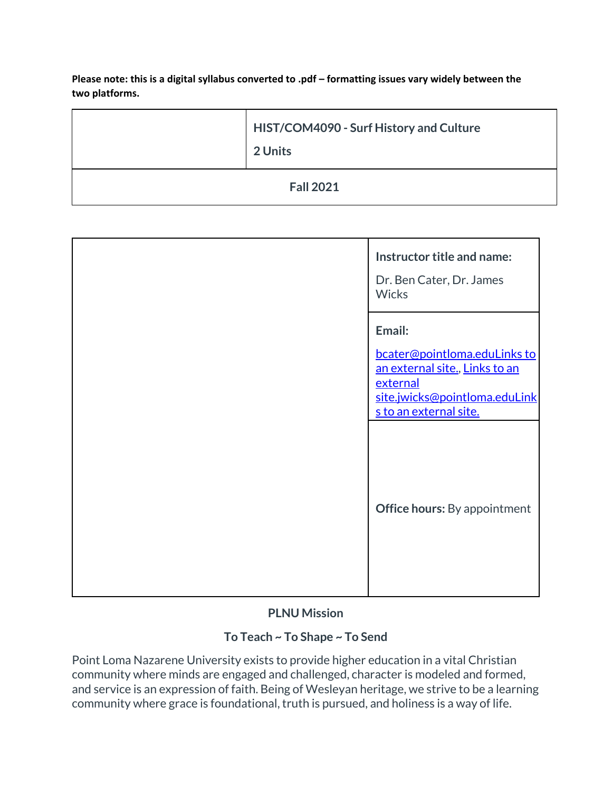Please note: this is a digital syllabus converted to .pdf – formatting issues vary widely between the **two platforms.**

| HIST/COM4090 - Surf History and Culture<br>2 Units |
|----------------------------------------------------|
| <b>Fall 2021</b>                                   |

| Instructor title and name:<br>Dr. Ben Cater, Dr. James<br><b>Wicks</b>                                                                          |
|-------------------------------------------------------------------------------------------------------------------------------------------------|
| Email:<br>bcater@pointloma.eduLinks to<br>an external site., Links to an<br>external<br>site.jwicks@pointloma.eduLink<br>s to an external site. |
| <b>Office hours:</b> By appointment                                                                                                             |

# **PLNU Mission**

# **To Teach ~ To Shape ~ To Send**

Point Loma Nazarene University exists to provide higher education in a vital Christian community where minds are engaged and challenged, character is modeled and formed, and service is an expression of faith. Being of Wesleyan heritage, we strive to be a learning community where grace is foundational, truth is pursued, and holiness is a way of life.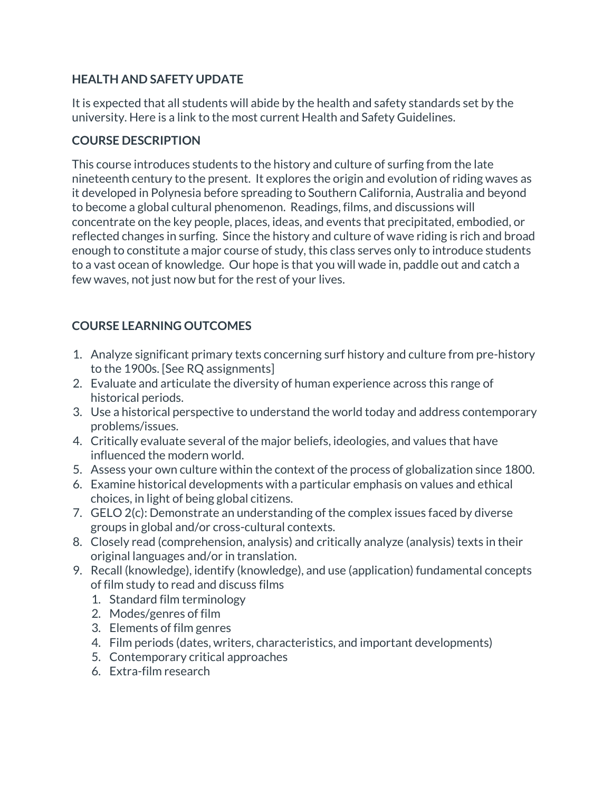# **HEALTH AND SAFETY UPDATE**

It is expected that all students will abide by the health and safety standards set by the university. Here is a link to the most current Health and Safety Guidelines.

### **COURSE DESCRIPTION**

This course introduces students to the history and culture of surfing from the late nineteenth century to the present. It explores the origin and evolution of riding waves as it developed in Polynesia before spreading to Southern California, Australia and beyond to become a global cultural phenomenon. Readings, films, and discussions will concentrate on the key people, places, ideas, and events that precipitated, embodied, or reflected changes in surfing. Since the history and culture of wave riding is rich and broad enough to constitute a major course of study, this class serves only to introduce students to a vast ocean of knowledge. Our hope is that you will wade in, paddle out and catch a few waves, not just now but for the rest of your lives.

# **COURSE LEARNING OUTCOMES**

- 1. Analyze significant primary texts concerning surf history and culture from pre-history to the 1900s. [See RQ assignments]
- 2. Evaluate and articulate the diversity of human experience across this range of historical periods.
- 3. Use a historical perspective to understand the world today and address contemporary problems/issues.
- 4. Critically evaluate several of the major beliefs, ideologies, and values that have influenced the modern world.
- 5. Assess your own culture within the context of the process of globalization since 1800.
- 6. Examine historical developments with a particular emphasis on values and ethical choices, in light of being global citizens.
- 7. GELO 2(c): Demonstrate an understanding of the complex issues faced by diverse groups in global and/or cross-cultural contexts.
- 8. Closely read (comprehension, analysis) and critically analyze (analysis) texts in their original languages and/or in translation.
- 9. Recall (knowledge), identify (knowledge), and use (application) fundamental concepts of film study to read and discuss films
	- 1. Standard film terminology
	- 2. Modes/genres of film
	- 3. Elements of film genres
	- 4. Film periods (dates, writers, characteristics, and important developments)
	- 5. Contemporary critical approaches
	- 6. Extra-film research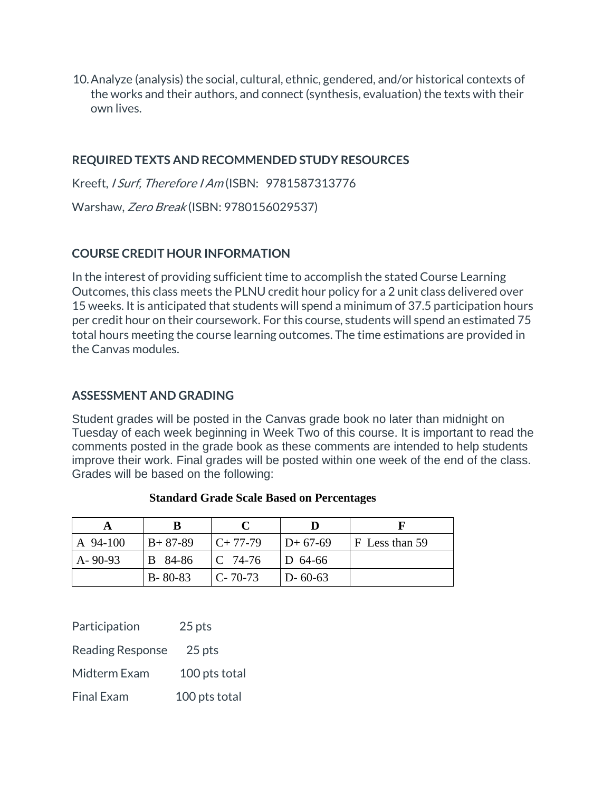10.Analyze (analysis) the social, cultural, ethnic, gendered, and/or historical contexts of the works and their authors, and connect (synthesis, evaluation) the texts with their own lives.

#### **REQUIRED TEXTS AND RECOMMENDED STUDY RESOURCES**

Kreeft, I Surf, Therefore I Am (ISBN: 9781587313776

Warshaw, Zero Break (ISBN: 9780156029537)

#### **COURSE CREDIT HOUR INFORMATION**

In the interest of providing sufficient time to accomplish the stated Course Learning Outcomes, this class meets the PLNU credit hour policy for a 2 unit class delivered over 15 weeks. It is anticipated that students will spend a minimum of 37.5 participation hours per credit hour on their coursework. For this course, students will spend an estimated 75 total hours meeting the course learning outcomes. The time estimations are provided in the Canvas modules.

#### **ASSESSMENT AND GRADING**

Student grades will be posted in the Canvas grade book no later than midnight on Tuesday of each week beginning in Week Two of this course. It is important to read the comments posted in the grade book as these comments are intended to help students improve their work. Final grades will be posted within one week of the end of the class. Grades will be based on the following:

| A 94-100      | l B+ 87-89    | $C+77-79$           | $ID+67-69$    | $F$ Less than 59 |
|---------------|---------------|---------------------|---------------|------------------|
| $A - 90 - 93$ | B 84-86       | $\mathsf{IC}$ 74-76 | $ D 64-66 $   |                  |
|               | $B - 80 - 83$ | $C - 70-73$         | $D - 60 - 63$ |                  |

#### **Standard Grade Scale Based on Percentages**

| Participation           | 25 pts        |  |
|-------------------------|---------------|--|
| <b>Reading Response</b> | 25 pts        |  |
| Midterm Exam            | 100 pts total |  |
| <b>Final Exam</b>       | 100 pts total |  |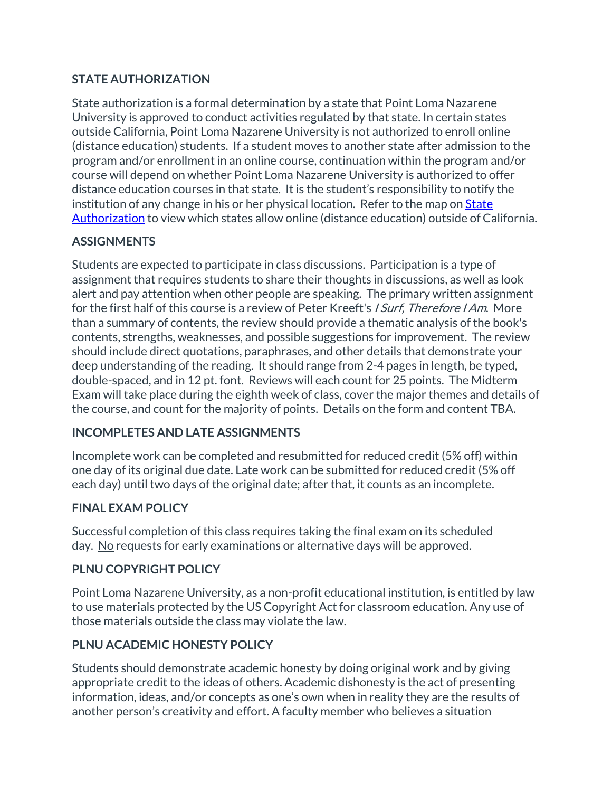# **STATE AUTHORIZATION**

State authorization is a formal determination by a state that Point Loma Nazarene University is approved to conduct activities regulated by that state. In certain states outside California, Point Loma Nazarene University is not authorized to enroll online (distance education) students. If a student moves to another state after admission to the program and/or enrollment in an online course, continuation within the program and/or course will depend on whether Point Loma Nazarene University is authorized to offer distance education courses in that state. It is the student's responsibility to notify the institution of any change in his or her physical location. Refer to the map on [State](https://www.pointloma.edu/offices/office-institutional-effectiveness-research/disclosures)  [Authorization](https://www.pointloma.edu/offices/office-institutional-effectiveness-research/disclosures) to view which states allow online (distance education) outside of California.

### **ASSIGNMENTS**

Students are expected to participate in class discussions. Participation is a type of assignment that requires students to share their thoughts in discussions, as well as look alert and pay attention when other people are speaking. The primary written assignment for the first half of this course is a review of Peter Kreeft's *I Surf, Therefore I Am*. More than a summary of contents, the review should provide a thematic analysis of the book's contents, strengths, weaknesses, and possible suggestions for improvement. The review should include direct quotations, paraphrases, and other details that demonstrate your deep understanding of the reading. It should range from 2-4 pages in length, be typed, double-spaced, and in 12 pt. font. Reviews will each count for 25 points. The Midterm Exam will take place during the eighth week of class, cover the major themes and details of the course, and count for the majority of points. Details on the form and content TBA.

#### **INCOMPLETES AND LATE ASSIGNMENTS**

Incomplete work can be completed and resubmitted for reduced credit (5% off) within one day of its original due date. Late work can be submitted for reduced credit (5% off each day) until two days of the original date; after that, it counts as an incomplete.

#### **FINAL EXAM POLICY**

Successful completion of this class requires taking the final exam on its scheduled day. No requests for early examinations or alternative days will be approved.

# **PLNU COPYRIGHT POLICY**

Point Loma Nazarene University, as a non-profit educational institution, is entitled by law to use materials protected by the US Copyright Act for classroom education. Any use of those materials outside the class may violate the law.

# **PLNU ACADEMIC HONESTY POLICY**

Students should demonstrate academic honesty by doing original work and by giving appropriate credit to the ideas of others. Academic dishonesty is the act of presenting information, ideas, and/or concepts as one's own when in reality they are the results of another person's creativity and effort. A faculty member who believes a situation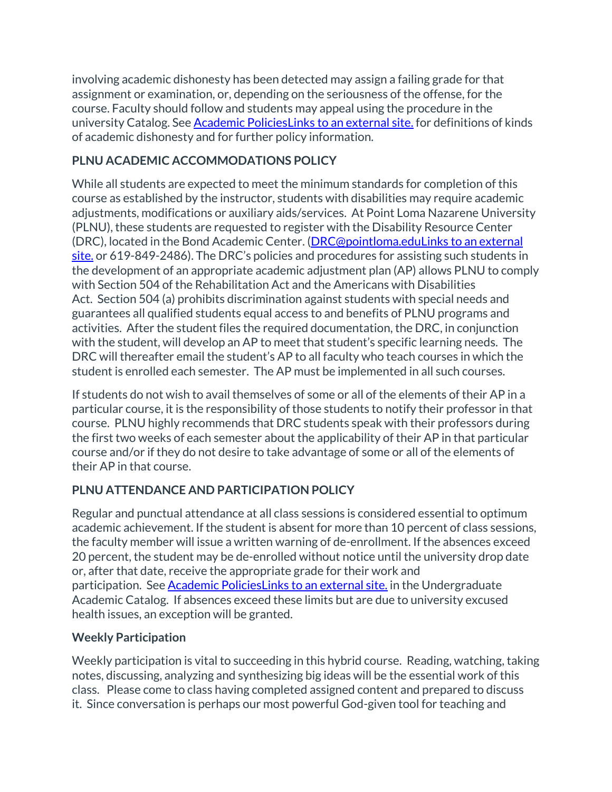involving academic dishonesty has been detected may assign a failing grade for that assignment or examination, or, depending on the seriousness of the offense, for the course. Faculty should follow and students may appeal using the procedure in the university Catalog. See [Academic PoliciesLinks](http://catalog.pointloma.edu/content.php?catoid=18&navoid=1278) to an external site. for definitions of kinds of academic dishonesty and for further policy information.

# **PLNU ACADEMIC ACCOMMODATIONS POLICY**

While all students are expected to meet the minimum standards for completion of this course as established by the instructor, students with disabilities may require academic adjustments, modifications or auxiliary aids/services. At Point Loma Nazarene University (PLNU), these students are requested to register with the Disability Resource Center (DRC), located in the Bond Academic Center. [\(DRC@pointloma.eduLinks](https://mail.google.com/mail/?view=cm&fs=1&tf=1&to=DRC@pointloma.edu) to an external [site.](https://mail.google.com/mail/?view=cm&fs=1&tf=1&to=DRC@pointloma.edu) or 619-849-2486). The DRC's policies and procedures for assisting such students in the development of an appropriate academic adjustment plan (AP) allows PLNU to comply with Section 504 of the Rehabilitation Act and the Americans with Disabilities Act. Section 504 (a) prohibits discrimination against students with special needs and guarantees all qualified students equal access to and benefits of PLNU programs and activities. After the student files the required documentation, the DRC, in conjunction with the student, will develop an AP to meet that student's specific learning needs. The DRC will thereafter email the student's AP to all faculty who teach courses in which the student is enrolled each semester. The AP must be implemented in all such courses.

If students do not wish to avail themselves of some or all of the elements of their AP in a particular course, it is the responsibility of those students to notify their professor in that course. PLNU highly recommends that DRC students speak with their professors during the first two weeks of each semester about the applicability of their AP in that particular course and/or if they do not desire to take advantage of some or all of the elements of their AP in that course.

# **PLNU ATTENDANCE AND PARTICIPATION POLICY**

Regular and punctual attendance at all class sessions is considered essential to optimum academic achievement. If the student is absent for more than 10 percent of class sessions, the faculty member will issue a written warning of de-enrollment. If the absences exceed 20 percent, the student may be de-enrolled without notice until the university drop date or, after that date, receive the appropriate grade for their work and participation. See [Academic PoliciesLinks](https://catalog.pointloma.edu/content.php?catoid=46&navoid=2650#Class_Attendance) to an external site. in the Undergraduate Academic Catalog. If absences exceed these limits but are due to university excused health issues, an exception will be granted.

# **Weekly Participation**

Weekly participation is vital to succeeding in this hybrid course. Reading, watching, taking notes, discussing, analyzing and synthesizing big ideas will be the essential work of this class. Please come to class having completed assigned content and prepared to discuss it. Since conversation is perhaps our most powerful God-given tool for teaching and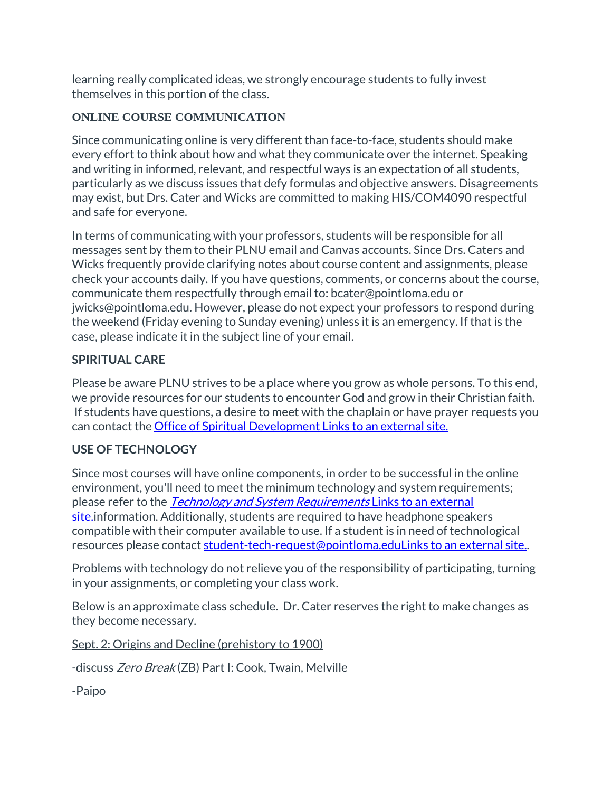learning really complicated ideas, we strongly encourage students to fully invest themselves in this portion of the class.

### **ONLINE COURSE COMMUNICATION**

Since communicating online is very different than face-to-face, students should make every effort to think about how and what they communicate over the internet. Speaking and writing in informed, relevant, and respectful ways is an expectation of all students, particularly as we discuss issues that defy formulas and objective answers. Disagreements may exist, but Drs. Cater and Wicks are committed to making HIS/COM4090 respectful and safe for everyone.

In terms of communicating with your professors, students will be responsible for all messages sent by them to their PLNU email and Canvas accounts. Since Drs. Caters and Wicks frequently provide clarifying notes about course content and assignments, please check your accounts daily. If you have questions, comments, or concerns about the course, communicate them respectfully through email to: bcater@pointloma.edu or jwicks@pointloma.edu. However, please do not expect your professors to respond during the weekend (Friday evening to Sunday evening) unless it is an emergency. If that is the case, please indicate it in the subject line of your email.

### **SPIRITUAL CARE**

Please be aware PLNU strives to be a place where you grow as whole persons. To this end, we provide resources for our students to encounter God and grow in their Christian faith. If students have questions, a desire to meet with the chaplain or have prayer requests you can contact the [Office of Spiritual Development](https://www.pointloma.edu/offices/spiritual-development) Links to an external site.

# **USE OF TECHNOLOGY**

Since most courses will have online components, in order to be successful in the online environment, you'll need to meet the minimum technology and system requirements; please refer to the *[Technology and System Requirements](https://help.pointloma.edu/TDClient/1808/Portal/KB/ArticleDet?ID=108349)* Links to an external [site.i](https://help.pointloma.edu/TDClient/1808/Portal/KB/ArticleDet?ID=108349)nformation. Additionally, students are required to have headphone speakers compatible with their computer available to use. If a student is in need of technological resources please contact [student-tech-request@pointloma.eduLinks](https://mail.google.com/mail/?view=cm&fs=1&tf=1&to=student-tech-request@pointloma.edu) to an external site..

Problems with technology do not relieve you of the responsibility of participating, turning in your assignments, or completing your class work.

Below is an approximate class schedule. Dr. Cater reserves the right to make changes as they become necessary.

Sept. 2: Origins and Decline (prehistory to 1900)

-discuss Zero Break (ZB) Part I: Cook, Twain, Melville

-Paipo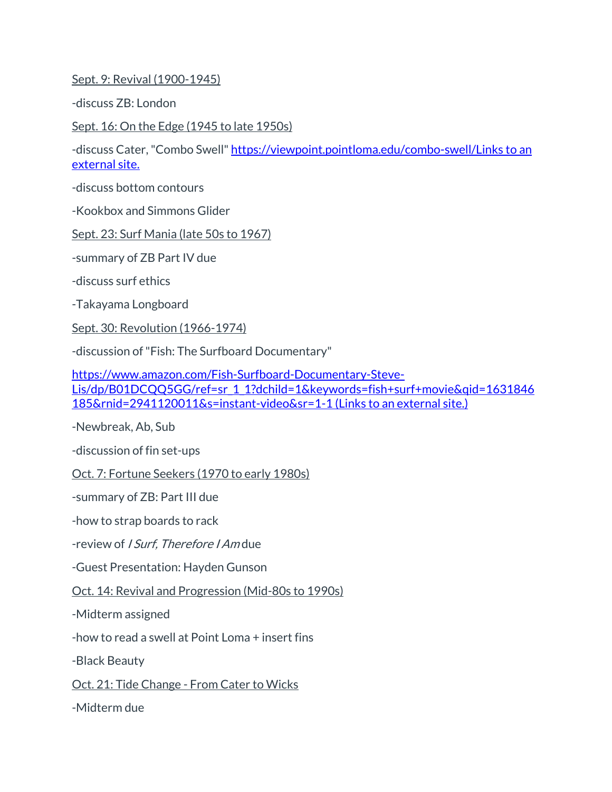Sept. 9: Revival (1900-1945)

-discuss ZB: London

Sept. 16: On the Edge (1945 to late 1950s)

-discuss Cater, "Combo Swell" [https://viewpoint.pointloma.edu/combo-swell/Links](https://viewpoint.pointloma.edu/combo-swell/) to an [external](https://viewpoint.pointloma.edu/combo-swell/) site.

-discuss bottom contours

-Kookbox and Simmons Glider

Sept. 23: Surf Mania (late 50s to 1967)

-summary of ZB Part IV due

-discuss surf ethics

-Takayama Longboard

Sept. 30: Revolution (1966-1974)

-discussion of "Fish: The Surfboard Documentary"

[https://www.amazon.com/Fish-Surfboard-Documentary-Steve-](https://www.amazon.com/Fish-Surfboard-Documentary-Steve-Lis/dp/B01DCQQ5GG/ref=sr_1_1?dchild=1&keywords=fish+surf+movie&qid=1631846185&rnid=2941120011&s=instant-video&sr=1-1)[Lis/dp/B01DCQQ5GG/ref=sr\\_1\\_1?dchild=1&keywords=fish+surf+movie&qid=1631846](https://www.amazon.com/Fish-Surfboard-Documentary-Steve-Lis/dp/B01DCQQ5GG/ref=sr_1_1?dchild=1&keywords=fish+surf+movie&qid=1631846185&rnid=2941120011&s=instant-video&sr=1-1) [185&rnid=2941120011&s=instant-video&sr=1-1](https://www.amazon.com/Fish-Surfboard-Documentary-Steve-Lis/dp/B01DCQQ5GG/ref=sr_1_1?dchild=1&keywords=fish+surf+movie&qid=1631846185&rnid=2941120011&s=instant-video&sr=1-1) (Links to an external site.)

-Newbreak, Ab, Sub

-discussion of fin set-ups

Oct. 7: Fortune Seekers (1970 to early 1980s)

-summary of ZB: Part III due

-how to strap boards to rack

-review of *I Surf. Therefore I Am* due

-Guest Presentation: Hayden Gunson

Oct. 14: Revival and Progression (Mid-80s to 1990s)

-Midterm assigned

-how to read a swell at Point Loma + insert fins

-Black Beauty

Oct. 21: Tide Change - From Cater to Wicks

-Midterm due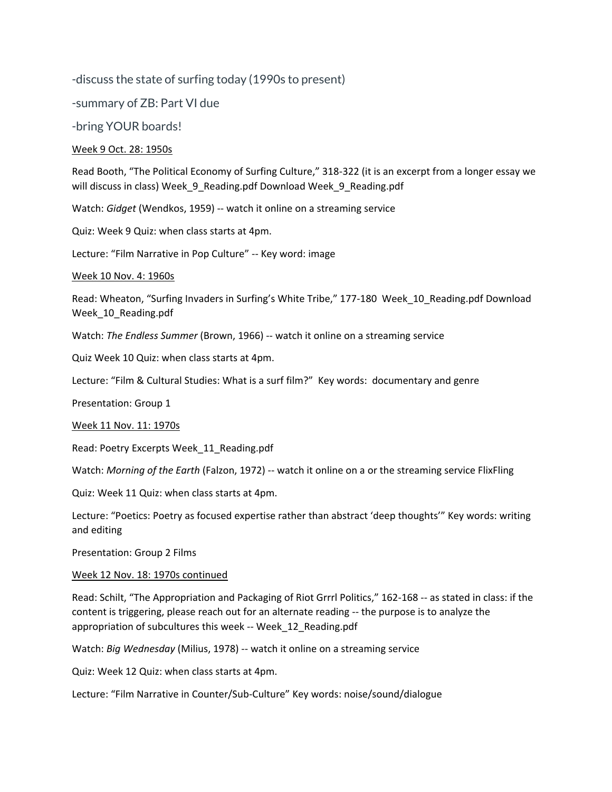-discuss the state of surfing today (1990s to present)

-summary of ZB: Part VI due

-bring YOUR boards!

#### Week 9 Oct. 28: 1950s

Read Booth, "The Political Economy of Surfing Culture," 318-322 (it is an excerpt from a longer essay we will discuss in class) Week\_9\_Reading.pdf Download Week\_9\_Reading.pdf

Watch: *Gidget* (Wendkos, 1959) -- watch it online on a streaming service

Quiz: Week 9 Quiz: when class starts at 4pm.

Lecture: "Film Narrative in Pop Culture" -- Key word: image

Week 10 Nov. 4: 1960s

Read: Wheaton, "Surfing Invaders in Surfing's White Tribe," 177-180 Week\_10\_Reading.pdf Download Week\_10\_Reading.pdf

Watch: *The Endless Summer* (Brown, 1966) -- watch it online on a streaming service

Quiz Week 10 Quiz: when class starts at 4pm.

Lecture: "Film & Cultural Studies: What is a surf film?" Key words: documentary and genre

Presentation: Group 1

Week 11 Nov. 11: 1970s

Read: Poetry Excerpts Week\_11\_Reading.pdf

Watch: *Morning of the Earth* (Falzon, 1972) -- watch it online on a or the streaming service FlixFling

Quiz: Week 11 Quiz: when class starts at 4pm.

Lecture: "Poetics: Poetry as focused expertise rather than abstract 'deep thoughts'" Key words: writing and editing

Presentation: Group 2 Films

Week 12 Nov. 18: 1970s continued

Read: Schilt, "The Appropriation and Packaging of Riot Grrrl Politics," 162-168 -- as stated in class: if the content is triggering, please reach out for an alternate reading -- the purpose is to analyze the appropriation of subcultures this week -- Week\_12\_Reading.pdf

Watch: *Big Wednesday* (Milius, 1978) -- watch it online on a streaming service

Quiz: Week 12 Quiz: when class starts at 4pm.

Lecture: "Film Narrative in Counter/Sub-Culture" Key words: noise/sound/dialogue